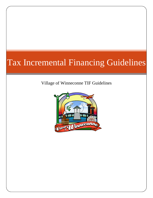# Tax Incremental Financing Guidelines

Village of Winneconne TIF Guidelines

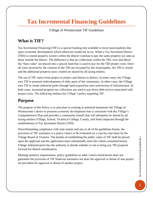## **Tax Incremental Financing Guidelines**

#### Village of Winneconne TIF Guidelines

#### **What is TIF?**

Tax Incremental Financing (TIF) is a special funding tool available to local municipalities that spurs economic development which otherwise would not occur. When a Tax Increment District (TID) is created property owners within the district continue to pay the same property tax rates as those outside the district. The difference is that tax collections within the TID, over and above the "base value" are placed into a special fund that is used to pay for the TID project costs. Once all costs incurred by the creation of the TID are recouped by the municipality, the TID is closed and the additional property taxes created are shared by all taxing entities.

The use of TIF varies from project to project and district to district. In some cases, the Village uses TIF to promote redevelopment of older parts of the community. In other cases, the Village uses TIF to create industrial parks through land acquisition and construction of infrastructure. In both cases, increased property tax collections are used to pay down debt service associated with project costs. The following outlines the Village's policy regarding TIF.

#### **Purpose**

The purpose of this Policy is to articulate to existing or potential businesses the Village of Winneconne's desire to promote economic development that is consistent with the Village's Comprehensive Plan and provides a community benefit that will ultimately be shared by all taxing entities (Village, School, Technical College, County, and State) impacted through the establishment of Tax Increment District (TID).

Notwithstanding compliance with state statute and any or all of the guidelines herein, the provision of TIF assistance is a policy choice to be evaluated on a case-by-case basis by the Village Board of Trustees. The burden of establishing the public value of TIF shall be placed upon the applicant and the application must substantially meet the criteria contained herein. Village Administration has the authority to decide whether or not to bring any TIF proposal forward for Board consideration.

Meeting statutory requirements, policy guidelines or other criteria listed herein does not guarantee the provision of TIF financial assistance nor does the approval or denial of one project set precedent for approval or denial of another project.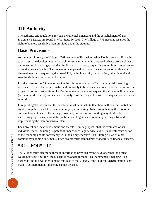#### **TIF Authority**

The authority and regulations for Tax Incremental Financing and the establishment of Tax Increment Districts are found in Wis. Stats. 66.1105. The Village of Winneconne reserves the right to be more restrictive than provided under the statutes.

#### **Basic Provisions**

As a matter of policy the Village of Winneconne will consider using Tax Incremental Financing to assist private development in those circumstances where the proposed private project shows a demonstrated financial gap and that the financial assistance request is the minimum necessary to make the project feasible. The developer is expected to have exhausted every other financial alternative prior to requesting the use of TIF, including equity participation, other federal and state funds, bonds, tax credits, loans, etc.

It is the intent of the Village to provide the minimum amount of Tax Incremental Financing assistance to make the project viable and not solely to broaden a developer's profit margin on the project. Prior to consideration of a Tax Incremental Financing request, the Village will undertake (at the requestor's cost) an independent analysis of the project to ensure the request for assistance is valid.

In requesting TIF assistance, the developer must demonstrate that there will be a substantial and significant public benefit to the community by eliminating blight, strengthening the economic and employment base of the Village, positively impacting surrounding neighborhoods, increasing property values and the tax base, creating new and retaining existing jobs, and implementing the Comprehensive Plan.

Each project and location is unique and therefore every proposal shall be evaluated on its individual merit, including its potential impact on village service levels, its overall contribution to the economy and its consistency with the Comprehensive Plan, Strategic Plan or other community planning documents. Each project must demonstrate probability of financial success.

### **"BUT FOR" TIF**

The Village must determine through information provided by the developer that the project would not occur "but for" the assistance provided through Tax Incremental Financing. The burden is on the developer to make this case to the Village. If the "but for" determination is not made, Tax Incremental Financing cannot be used.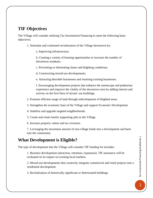#### **TIF Objectives**

The Village will consider utilizing Tax Incremental Financing to meet the following basic objectives:

- 1. Stimulate and continued revitalization of the Village downtown by:
	- a. Improving infrastructure;

b. Creating a variety of housing opportunities to increase the number of downtown residents;

c. Preventing or eliminating slums and blighting conditions;

- d. Constructing mixed-use developments;
- e. Attracting desirable businesses and retaining existing businesses.

f. Encouraging development projects that enhance the streetscape and pedestrian experience and improve the vitality of the downtown area by adding interest and activity on the first floor of mixed- use buildings.

- 2. Promote efficient usage of land through redevelopment of blighted areas.
- 3. Strengthen the economic base of the Village and support Economic Development.
- 4. Stabilize and upgrade targeted neighborhoods.
- 5. Create and retain family supporting jobs in the Village.
- 6. Increase property values and tax revenues.

7. Leveraging the maximum amount of non-village funds into a development and back into the community.

#### **What Development is Eligible?**

The type of development that the Village will consider TIF funding for includes:

1. Business development (attraction, retention, expansion). TIF assistance will be evaluated on its impact on existing local markets.

2. Mixed-use developments that creatively integrate commercial and retail projects into a residential development.

3. Revitalization of historically significant or deteriorated buildings.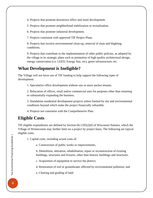4. Projects that promote downtown office and retail development.

5. Projects that promote neighborhood stabilization or revitalization.

6. Projects that promote industrial development.

7. Projects consistent with approved TIF Project Plans.

8. Projects that involve environmental clean-up, removal of slum and blighting conditions.

9. Projects that contribute to the implementation of other public policies, as adopted by the village in its strategic plans such as promotion of high quality architectural design, energy conservation (i.e. LEED, Energy Star, etc), green infrastructure, etc.

#### **What Development is Ineligible?**

The Village will not favor use of TIF funding to help support the following types of development.

1. Speculative office development without one or more anchor tenants.

2. Relocation of offices, retail and/or commercial uses for purposes other than retaining or substantially expanding the business.

3. Standalone residential development projects unless limited by site and environmental conditions beyond which make the project financially infeasible.

4. Projects not consistent with the Comprehensive Plan.

### **Eligible Costs**

TIF eligible expenditures are defined by Section 66.1105(2)(f) of Wisconsin Statutes, which the Village of Winneconne may further limit on a project by project basis. The following are typical eligible costs.

1. Capital costs, including actual costs of:

a. Construction of public works or improvements;

b. Demolition, alteration, rehabilitation, repair or reconstruction of existing buildings, structures and fixtures, other than historic buildings and structures.

c. Acquisition of equipment to service the district;

d. Restoration of soil or groundwater affected by environmental pollution; and

e. Clearing and grading of land.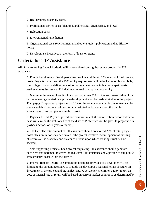2. Real property assembly costs.

3. Professional service costs (planning, architectural, engineering, and legal).

4. Relocation costs.

5. Environmental remediation.

6. Organizational costs (environmental and other studies, publication and notification costs)

7. Development Incentives in the form of loans or grants.

#### **Criteria for TIF Assistance**

All of the following financial criteria will be considered during the review process for TIF assistance.

1. Equity Requirement. Developers must provide a minimum 15% equity of total project costs. Projects that exceed the 15% equity requirement will be looked upon favorably by the Village. Equity is defined as cash or un-leveraged value in land or prepaid costs attributable to the project. TIF shall not be used to supplant cash equity.

2. Maximum Increment Use. For loans, no more than 75% of the net present value of the tax increment generated by a private development shall be made available to the project. For "pay-go" supported projects up to 90% of the generated annual tax increment can be made available if a financial need is demonstrated and there are no other public infrastructure projects planned in the district.

3. Payback Period. Payback period for loans will match the amortization period but in no case will exceed the statutory life of the district. Preference will be given to projects with payback periods of 10 years or under.

4. TIF Cap. The total amount of TIF assistance should not exceed 25% of total project costs. This limitation may be waived if the project involves redevelopment of existing structures or the assembly and clearance of land upon which existing structures are located.

5. Self-Supporting Projects. Each project requesting TIF assistance should generate sufficient tax increment to cover the requested TIF assistance and a portion of any public infrastructure costs within the district.

6. Internal Rate of Return. The amount of assistance provided to a developer will be limited to the amount necessary to provide the developer a reasonable rate of return on investment in the project and the subject site. A developer's return on equity, return on cost or internal rate of return will be based on current market conditions as determined by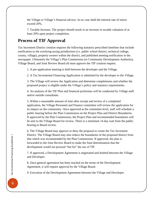the Village or Village's financial advisor. In no case shall the internal rate of return exceed 20%.

7. Taxable Increase. The project should result in an increase in taxable valuation of at least 20% upon project completion.

### **Process of TIF Approval**

Tax Increment District creation requires the following statutory prescribed timelines that include notification to the overlying taxing jurisdictions (i.e. public school district, technical college, county, village), property owners within the district, and published meeting notification in the newspaper. Ultimately the Village's Plan Commission (or Community Development Authority), Village Board, and Joint Review Board all must approve the TIF creation request.

1. A pre-application meeting is held between the developer and the Village.

2. A Tax Incremental Financing Application is submitted by the developer to the Village.

3. The Village will review the Application and determine completeness and whether the proposed project is eligible under the Village's policy and statutory requirements.

4. An analysis of the TIF Plan and financial proformas will be conducted by Village staff and/or outside consultants.

5. Within a reasonable amount of time after receipt and review of a completed application, the Village Personnel and Finance committee will review the application for its impact on the community. Once approved at the committee level, staff will schedule a public hearing before the Plan Commission on the Project Plan and District Boundaries. If approved by the Plan Commission, the Project Plan and recommended boundaries will be sent to the Village Board for review. There is a minimum 14 day wait from the public hearing to Board review.

6. The Village Board may approve or deny the proposal to create the Tax Increment District. The Village Board may also reduce the boundaries of the proposed district from that which was recommended by the Plan Commission. If approved, the plan is forwarded to the Joint Review Board to make the final determination that the development would not proceed "but for" the use of TIF.

7. If approved, a Development Agreement is negotiated and drafted between the Village and Developer.

8. Once general agreement has been reached on the terms of the Development Agreement, it will require approval by the Village Board.

9. Execution of the Development Agreement between the Village and Developer.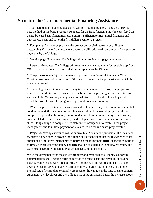#### **Structure for Tax Incremental Financing Assistance**

1. Tax Incremental Financing assistance will be provided by the Village on a "pay-go" note method or via bond proceeds. Requests for up-front financing may be considered on a case-by-case basis if increment generation is sufficient to meet initial financing and debt service costs and is not the first dollars spent on a project.

2. For "pay-go" structured projects, the project owner shall agree to pay all other outstanding Village of Winneconne property tax bills prior to disbursement of any pay-go payments by the Village.

3. No Mortgage Guarantees. The Village will not provide mortgage guarantees.

4. Personal Guarantee. The Village will require a personal guaranty for receiving up front TIF assistance. Amount and form shall be acceptable to the Village.

5. The property owner(s) shall agree not to protest to the Board of Review or Circuit Court the Assessor's determination of the property value for the properties for which the grant is requested.

6. The Village may retain a portion of any tax increment received from the project to reimburse for administrative costs. Until such time as the project generates positive tax increment, the Village may charge an administrative fee to the developer to partially offset the cost of record keeping, report preparation, and accounting.

7. When the project is intended as a for-sale development (i.e., office, retail or residential condominiums), the developer must retain ownership of the overall project until final completion; provided, however, that individual condominium units may be sold as they are completed. For all other projects, the developer must retain ownership of the project at least long enough to complete it, to stabilize its occupancy, to establish the project management and to initiate payment of taxes based on the increased project value.

8. Projects receiving assistance will be subject to a "look back" provision. The look back mandates a developer to provide the Village or its financial advisor with evidence of its annualized cumulative internal rate of return on the investment (IRR) at specified periods of time after project completion. The IRR shall be calculated with equity, revenues, and expenses in accord with generally accepted accounting principles.

When the developer owns the subject property and rents space to tenants, supporting documentation shall include certified records of project costs and revenues including lease agreements and sales on a per square foot basis. If the records indicate that the developer has received a higher return on equity, a higher return on cost, or a higher internal rate of return than originally proposed to the Village at the time of development agreement, the developer and the Village may split, on a 50/50 basis, the increase above